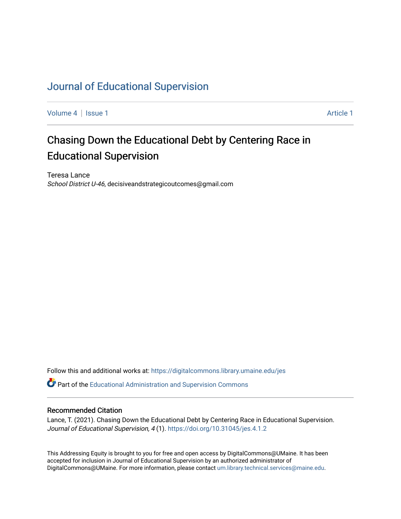# [Journal of Educational Supervision](https://digitalcommons.library.umaine.edu/jes)

[Volume 4](https://digitalcommons.library.umaine.edu/jes/vol4) | [Issue 1](https://digitalcommons.library.umaine.edu/jes/vol4/iss1) Article 1

# Chasing Down the Educational Debt by Centering Race in Educational Supervision

Teresa Lance School District U-46, decisiveandstrategicoutcomes@gmail.com

Follow this and additional works at: [https://digitalcommons.library.umaine.edu/jes](https://digitalcommons.library.umaine.edu/jes?utm_source=digitalcommons.library.umaine.edu%2Fjes%2Fvol4%2Fiss1%2F1&utm_medium=PDF&utm_campaign=PDFCoverPages)

Part of the [Educational Administration and Supervision Commons](http://network.bepress.com/hgg/discipline/787?utm_source=digitalcommons.library.umaine.edu%2Fjes%2Fvol4%2Fiss1%2F1&utm_medium=PDF&utm_campaign=PDFCoverPages)

#### Recommended Citation

Lance, T. (2021). Chasing Down the Educational Debt by Centering Race in Educational Supervision. Journal of Educational Supervision, 4 (1).<https://doi.org/10.31045/jes.4.1.2>

This Addressing Equity is brought to you for free and open access by DigitalCommons@UMaine. It has been accepted for inclusion in Journal of Educational Supervision by an authorized administrator of DigitalCommons@UMaine. For more information, please contact [um.library.technical.services@maine.edu](mailto:um.library.technical.services@maine.edu).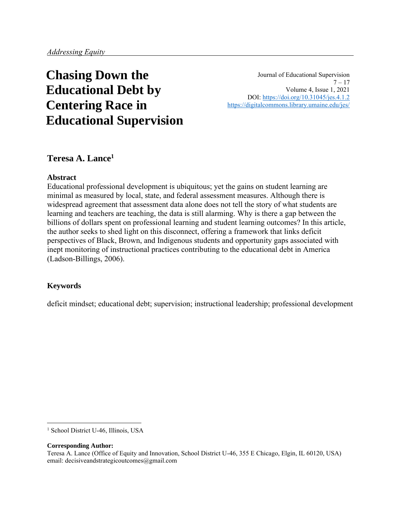# **Chasing Down the Educational Debt by Centering Race in Educational Supervision**

Journal of Educational Supervision  $7 - 17$ Volume 4, Issue 1, 2021 DOI:<https://doi.org/10.31045/jes.4.1.2> <https://digitalcommons.library.umaine.edu/jes/>

# **Teresa A. Lance<sup>1</sup>**

#### **Abstract**

Educational professional development is ubiquitous; yet the gains on student learning are minimal as measured by local, state, and federal assessment measures. Although there is widespread agreement that assessment data alone does not tell the story of what students are learning and teachers are teaching, the data is still alarming. Why is there a gap between the billions of dollars spent on professional learning and student learning outcomes? In this article, the author seeks to shed light on this disconnect, offering a framework that links deficit perspectives of Black, Brown, and Indigenous students and opportunity gaps associated with inept monitoring of instructional practices contributing to the educational debt in America (Ladson-Billings, 2006).

#### **Keywords**

deficit mindset; educational debt; supervision; instructional leadership; professional development

#### **Corresponding Author:**

<sup>&</sup>lt;sup>1</sup> School District U-46, Illinois, USA

Teresa A. Lance (Office of Equity and Innovation, School District U-46, 355 E Chicago, Elgin, IL 60120, USA) email: decisiveandstrategicoutcomes@gmail.com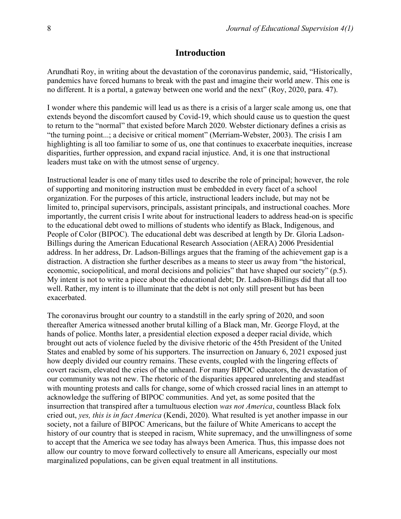#### **Introduction**

Arundhati Roy, in writing about the devastation of the coronavirus pandemic, said, "Historically, pandemics have forced humans to break with the past and imagine their world anew. This one is no different. It is a portal, a gateway between one world and the next" (Roy, 2020, para. 47).

I wonder where this pandemic will lead us as there is a crisis of a larger scale among us, one that extends beyond the discomfort caused by Covid-19, which should cause us to question the quest to return to the "normal" that existed before March 2020. Webster dictionary defines a crisis as "the turning point...; a decisive or critical moment" (Merriam-Webster, 2003). The crisis I am highlighting is all too familiar to some of us, one that continues to exacerbate inequities, increase disparities, further oppression, and expand racial injustice. And, it is one that instructional leaders must take on with the utmost sense of urgency.

Instructional leader is one of many titles used to describe the role of principal; however, the role of supporting and monitoring instruction must be embedded in every facet of a school organization. For the purposes of this article, instructional leaders include, but may not be limited to, principal supervisors, principals, assistant principals, and instructional coaches. More importantly, the current crisis I write about for instructional leaders to address head-on is specific to the educational debt owed to millions of students who identify as Black, Indigenous, and People of Color (BIPOC). The educational debt was described at length by Dr. Gloria Ladson-Billings during the American Educational Research Association (AERA) 2006 Presidential address. In her address, Dr. Ladson-Billings argues that the framing of the achievement gap is a distraction. A distraction she further describes as a means to steer us away from "the historical, economic, sociopolitical, and moral decisions and policies" that have shaped our society" (p.5). My intent is not to write a piece about the educational debt; Dr. Ladson-Billings did that all too well. Rather, my intent is to illuminate that the debt is not only still present but has been exacerbated.

The coronavirus brought our country to a standstill in the early spring of 2020, and soon thereafter America witnessed another brutal killing of a Black man, Mr. George Floyd, at the hands of police. Months later, a presidential election exposed a deeper racial divide, which brought out acts of violence fueled by the divisive rhetoric of the 45th President of the United States and enabled by some of his supporters. The insurrection on January 6, 2021 exposed just how deeply divided our country remains. These events, coupled with the lingering effects of covert racism, elevated the cries of the unheard. For many BIPOC educators, the devastation of our community was not new. The rhetoric of the disparities appeared unrelenting and steadfast with mounting protests and calls for change, some of which crossed racial lines in an attempt to acknowledge the suffering of BIPOC communities. And yet, as some posited that the insurrection that transpired after a tumultuous election *was not America*, countless Black folx cried out, *yes, this is in fact America* (Kendi, 2020). What resulted is yet another impasse in our society, not a failure of BIPOC Americans, but the failure of White Americans to accept the history of our country that is steeped in racism, White supremacy, and the unwillingness of some to accept that the America we see today has always been America. Thus, this impasse does not allow our country to move forward collectively to ensure all Americans, especially our most marginalized populations, can be given equal treatment in all institutions.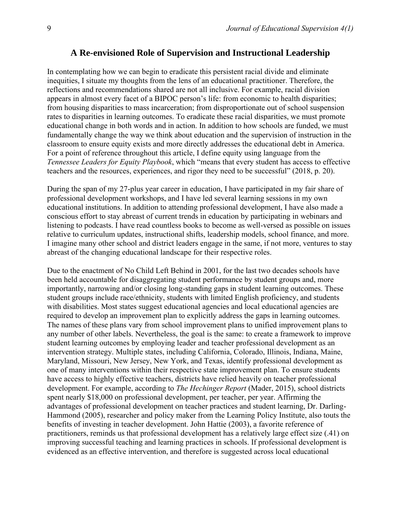### **A Re-envisioned Role of Supervision and Instructional Leadership**

In contemplating how we can begin to eradicate this persistent racial divide and eliminate inequities, I situate my thoughts from the lens of an educational practitioner. Therefore, the reflections and recommendations shared are not all inclusive. For example, racial division appears in almost every facet of a BIPOC person's life: from economic to health disparities; from housing disparities to mass incarceration; from disproportionate out of school suspension rates to disparities in learning outcomes. To eradicate these racial disparities, we must promote educational change in both words and in action. In addition to how schools are funded, we must fundamentally change the way we think about education and the supervision of instruction in the classroom to ensure equity exists and more directly addresses the educational debt in America. For a point of reference throughout this article, I define equity using language from the *Tennessee Leaders for Equity Playbook*, which "means that every student has access to effective teachers and the resources, experiences, and rigor they need to be successful" (2018, p. 20).

During the span of my 27-plus year career in education, I have participated in my fair share of professional development workshops, and I have led several learning sessions in my own educational institutions. In addition to attending professional development, I have also made a conscious effort to stay abreast of current trends in education by participating in webinars and listening to podcasts. I have read countless books to become as well-versed as possible on issues relative to curriculum updates, instructional shifts, leadership models, school finance, and more. I imagine many other school and district leaders engage in the same, if not more, ventures to stay abreast of the changing educational landscape for their respective roles.

Due to the enactment of No Child Left Behind in 2001, for the last two decades schools have been held accountable for disaggregating student performance by student groups and, more importantly, narrowing and/or closing long-standing gaps in student learning outcomes. These student groups include race/ethnicity, students with limited English proficiency, and students with disabilities. Most states suggest educational agencies and local educational agencies are required to develop an improvement plan to explicitly address the gaps in learning outcomes. The names of these plans vary from school improvement plans to unified improvement plans to any number of other labels. Nevertheless, the goal is the same: to create a framework to improve student learning outcomes by employing leader and teacher professional development as an intervention strategy. Multiple states, including California, Colorado, Illinois, Indiana, Maine, Maryland, Missouri, New Jersey, New York, and Texas, identify professional development as one of many interventions within their respective state improvement plan. To ensure students have access to highly effective teachers, districts have relied heavily on teacher professional development. For example, according to *The Hechinger Report* (Mader, 2015), school districts spent nearly \$18,000 on professional development, per teacher, per year. Affirming the advantages of professional development on teacher practices and student learning, Dr. Darling-Hammond (2005), researcher and policy maker from the Learning Policy Institute, also touts the benefits of investing in teacher development. John Hattie (2003), a favorite reference of practitioners, reminds us that professional development has a relatively large effect size (.41) on improving successful teaching and learning practices in schools. If professional development is evidenced as an effective intervention, and therefore is suggested across local educational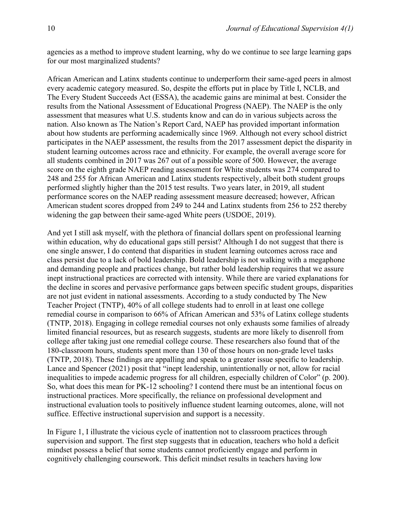agencies as a method to improve student learning, why do we continue to see large learning gaps for our most marginalized students?

African American and Latinx students continue to underperform their same-aged peers in almost every academic category measured. So, despite the efforts put in place by Title I, NCLB, and The Every Student Succeeds Act (ESSA), the academic gains are minimal at best. Consider the results from the National Assessment of Educational Progress (NAEP). The NAEP is the only assessment that measures what U.S. students know and can do in various subjects across the nation. Also known as The Nation's Report Card, NAEP has provided important information about how students are performing academically since 1969. Although not every school district participates in the NAEP assessment, the results from the 2017 assessment depict the disparity in student learning outcomes across race and ethnicity. For example, the overall average score for all students combined in 2017 was 267 out of a possible score of 500. However, the average score on the eighth grade NAEP reading assessment for White students was 274 compared to 248 and 255 for African American and Latinx students respectively, albeit both student groups performed slightly higher than the 2015 test results. Two years later, in 2019, all student performance scores on the NAEP reading assessment measure decreased; however, African American student scores dropped from 249 to 244 and Latinx students from 256 to 252 thereby widening the gap between their same-aged White peers (USDOE, 2019).

And yet I still ask myself, with the plethora of financial dollars spent on professional learning within education, why do educational gaps still persist? Although I do not suggest that there is one single answer, I do contend that disparities in student learning outcomes across race and class persist due to a lack of bold leadership. Bold leadership is not walking with a megaphone and demanding people and practices change, but rather bold leadership requires that we assure inept instructional practices are corrected with intensity. While there are varied explanations for the decline in scores and pervasive performance gaps between specific student groups, disparities are not just evident in national assessments. According to a study conducted by The New Teacher Project (TNTP), 40% of all college students had to enroll in at least one college remedial course in comparison to 66% of African American and 53% of Latinx college students (TNTP, 2018). Engaging in college remedial courses not only exhausts some families of already limited financial resources, but as research suggests, students are more likely to disenroll from college after taking just one remedial college course. These researchers also found that of the 180-classroom hours, students spent more than 130 of those hours on non-grade level tasks (TNTP, 2018). These findings are appalling and speak to a greater issue specific to leadership. Lance and Spencer (2021) posit that "inept leadership, unintentionally or not, allow for racial inequalities to impede academic progress for all children, especially children of Color" (p. 200). So, what does this mean for PK-12 schooling? I contend there must be an intentional focus on instructional practices. More specifically, the reliance on professional development and instructional evaluation tools to positively influence student learning outcomes, alone, will not suffice. Effective instructional supervision and support is a necessity.

In Figure 1, I illustrate the vicious cycle of inattention not to classroom practices through supervision and support. The first step suggests that in education, teachers who hold a deficit mindset possess a belief that some students cannot proficiently engage and perform in cognitively challenging coursework. This deficit mindset results in teachers having low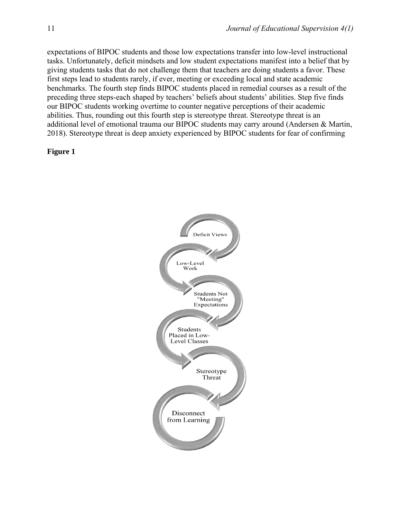expectations of BIPOC students and those low expectations transfer into low-level instructional tasks. Unfortunately, deficit mindsets and low student expectations manifest into a belief that by giving students tasks that do not challenge them that teachers are doing students a favor. These first steps lead to students rarely, if ever, meeting or exceeding local and state academic benchmarks. The fourth step finds BIPOC students placed in remedial courses as a result of the preceding three steps-each shaped by teachers' beliefs about students' abilities. Step five finds our BIPOC students working overtime to counter negative perceptions of their academic abilities. Thus, rounding out this fourth step is stereotype threat. Stereotype threat is an additional level of emotional trauma our BIPOC students may carry around (Andersen & Martin, 2018). Stereotype threat is deep anxiety experienced by BIPOC students for fear of confirming

#### **Figure 1**

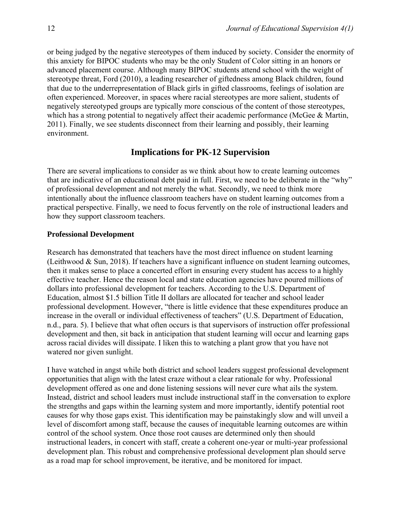or being judged by the negative stereotypes of them induced by society. Consider the enormity of this anxiety for BIPOC students who may be the only Student of Color sitting in an honors or advanced placement course. Although many BIPOC students attend school with the weight of stereotype threat, Ford (2010), a leading researcher of giftedness among Black children, found that due to the underrepresentation of Black girls in gifted classrooms, feelings of isolation are often experienced. Moreover, in spaces where racial stereotypes are more salient, students of negatively stereotyped groups are typically more conscious of the content of those stereotypes, which has a strong potential to negatively affect their academic performance (McGee & Martin, 2011). Finally, we see students disconnect from their learning and possibly, their learning environment.

## **Implications for PK-12 Supervision**

There are several implications to consider as we think about how to create learning outcomes that are indicative of an educational debt paid in full. First, we need to be deliberate in the "why" of professional development and not merely the what. Secondly, we need to think more intentionally about the influence classroom teachers have on student learning outcomes from a practical perspective. Finally, we need to focus fervently on the role of instructional leaders and how they support classroom teachers.

#### **Professional Development**

Research has demonstrated that teachers have the most direct influence on student learning (Leithwood  $\&$  Sun, 2018). If teachers have a significant influence on student learning outcomes, then it makes sense to place a concerted effort in ensuring every student has access to a highly effective teacher. Hence the reason local and state education agencies have poured millions of dollars into professional development for teachers. According to the U.S. Department of Education, almost \$1.5 billion Title II dollars are allocated for teacher and school leader professional development. However, "there is little evidence that these expenditures produce an increase in the overall or individual effectiveness of teachers" (U.S. Department of Education, n.d., para. 5). I believe that what often occurs is that supervisors of instruction offer professional development and then, sit back in anticipation that student learning will occur and learning gaps across racial divides will dissipate. I liken this to watching a plant grow that you have not watered nor given sunlight.

I have watched in angst while both district and school leaders suggest professional development opportunities that align with the latest craze without a clear rationale for why. Professional development offered as one and done listening sessions will never cure what ails the system. Instead, district and school leaders must include instructional staff in the conversation to explore the strengths and gaps within the learning system and more importantly, identify potential root causes for why those gaps exist. This identification may be painstakingly slow and will unveil a level of discomfort among staff, because the causes of inequitable learning outcomes are within control of the school system. Once those root causes are determined only then should instructional leaders, in concert with staff, create a coherent one-year or multi-year professional development plan. This robust and comprehensive professional development plan should serve as a road map for school improvement, be iterative, and be monitored for impact.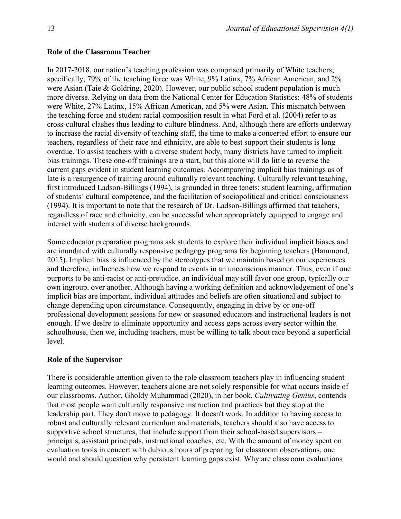#### **Role of the Classroom Teacher**

In 2017-2018, our nation's teaching profession was comprised primarily of White teachers; specifically, 79% of the teaching force was White, 9% Latinx, 7% African American, and 2% were Asian (Taie & Goldring, 2020). However, our public school student population is much more diverse. Relying on data from the National Center for Education Statistics: 48% of students were White, 27% Latinx, 15% African American, and 5% were Asian. This mismatch between the teaching force and student racial composition result in what Ford et al. (2004) refer to as cross-cultural clashes thus leading to culture blindness. And, although there are efforts underway to increase the racial diversity of teaching staff, the time to make a concerted effort to ensure our teachers, regardless of their race and ethnicity, are able to best support their students is long overdue. To assist teachers with a diverse student body, many districts have turned to implicit bias trainings. These one-off trainings are a start, but this alone will do little to reverse the current gaps evident in student learning outcomes. Accompanying implicit bias trainings as of late is a resurgence of training around culturally relevant teaching. Culturally relevant teaching, first introduced Ladson-Billings (1994), is grounded in three tenets: student learning, affirmation of students' cultural competence, and the facilitation of sociopolitical and critical consciousness (1994). It is important to note that the research of Dr. Ladson-Billings affirmed that teachers, regardless of race and ethnicity, can be successful when appropriately equipped to engage and interact with students of diverse backgrounds.

Some educator preparation programs ask students to explore their individual implicit biases and are inundated with culturally responsive pedagogy programs for beginning teachers (Hammond, 2015). Implicit bias is influenced by the stereotypes that we maintain based on our experiences and therefore, influences how we respond to events in an unconscious manner. Thus, even if one purports to be anti-racist or anti-prejudice, an individual may still favor one group, typically our own ingroup, over another. Although having a working definition and acknowledgement of one's implicit bias are important, individual attitudes and beliefs are often situational and subject to change depending upon circumstance. Consequently, engaging in drive by or one-off professional development sessions for new or seasoned educators and instructional leaders is not enough. If we desire to eliminate opportunity and access gaps across every sector within the schoolhouse, then we, including teachers, must be willing to talk about race beyond a superficial level.

#### **Role of the Supervisor**

There is considerable attention given to the role classroom teachers play in influencing student learning outcomes. However, teachers alone are not solely responsible for what occurs inside of our classrooms. Author, Gholdy Muhammad (2020), in her book, *Cultivating Genius*, contends that most people want culturally responsive instruction and practices but they stop at the leadership part. They don't move to pedagogy. It doesn't work. In addition to having access to robust and culturally relevant curriculum and materials, teachers should also have access to supportive school structures, that include support from their school-based supervisors – principals, assistant principals, instructional coaches, etc. With the amount of money spent on evaluation tools in concert with dubious hours of preparing for classroom observations, one would and should question why persistent learning gaps exist. Why are classroom evaluations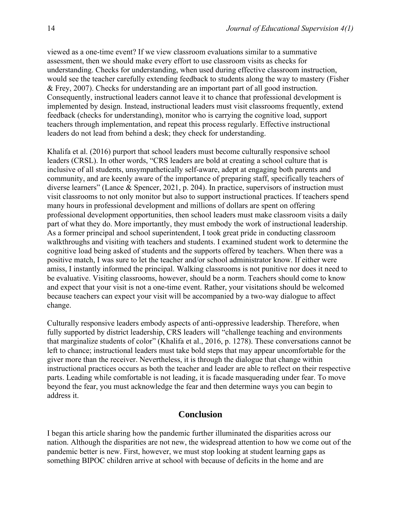viewed as a one-time event? If we view classroom evaluations similar to a summative assessment, then we should make every effort to use classroom visits as checks for understanding. Checks for understanding, when used during effective classroom instruction, would see the teacher carefully extending feedback to students along the way to mastery (Fisher & Frey, 2007). Checks for understanding are an important part of all good instruction. Consequently, instructional leaders cannot leave it to chance that professional development is implemented by design. Instead, instructional leaders must visit classrooms frequently, extend feedback (checks for understanding), monitor who is carrying the cognitive load, support teachers through implementation, and repeat this process regularly. Effective instructional leaders do not lead from behind a desk; they check for understanding.

Khalifa et al. (2016) purport that school leaders must become culturally responsive school leaders (CRSL). In other words, "CRS leaders are bold at creating a school culture that is inclusive of all students, unsympathetically self-aware, adept at engaging both parents and community, and are keenly aware of the importance of preparing staff, specifically teachers of diverse learners" (Lance & Spencer, 2021, p. 204). In practice, supervisors of instruction must visit classrooms to not only monitor but also to support instructional practices. If teachers spend many hours in professional development and millions of dollars are spent on offering professional development opportunities, then school leaders must make classroom visits a daily part of what they do. More importantly, they must embody the work of instructional leadership. As a former principal and school superintendent, I took great pride in conducting classroom walkthroughs and visiting with teachers and students. I examined student work to determine the cognitive load being asked of students and the supports offered by teachers. When there was a positive match, I was sure to let the teacher and/or school administrator know. If either were amiss, I instantly informed the principal. Walking classrooms is not punitive nor does it need to be evaluative. Visiting classrooms, however, should be a norm. Teachers should come to know and expect that your visit is not a one-time event. Rather, your visitations should be welcomed because teachers can expect your visit will be accompanied by a two-way dialogue to affect change.

Culturally responsive leaders embody aspects of anti-oppressive leadership. Therefore, when fully supported by district leadership, CRS leaders will "challenge teaching and environments that marginalize students of color" (Khalifa et al., 2016, p. 1278). These conversations cannot be left to chance; instructional leaders must take bold steps that may appear uncomfortable for the giver more than the receiver. Nevertheless, it is through the dialogue that change within instructional practices occurs as both the teacher and leader are able to reflect on their respective parts. Leading while comfortable is not leading, it is facade masquerading under fear. To move beyond the fear, you must acknowledge the fear and then determine ways you can begin to address it.

#### **Conclusion**

I began this article sharing how the pandemic further illuminated the disparities across our nation. Although the disparities are not new, the widespread attention to how we come out of the pandemic better is new. First, however, we must stop looking at student learning gaps as something BIPOC children arrive at school with because of deficits in the home and are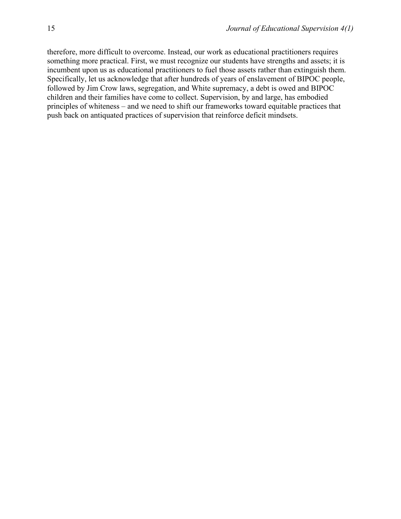therefore, more difficult to overcome. Instead, our work as educational practitioners requires something more practical. First, we must recognize our students have strengths and assets; it is incumbent upon us as educational practitioners to fuel those assets rather than extinguish them. Specifically, let us acknowledge that after hundreds of years of enslavement of BIPOC people, followed by Jim Crow laws, segregation, and White supremacy, a debt is owed and BIPOC children and their families have come to collect. Supervision, by and large, has embodied principles of whiteness – and we need to shift our frameworks toward equitable practices that push back on antiquated practices of supervision that reinforce deficit mindsets.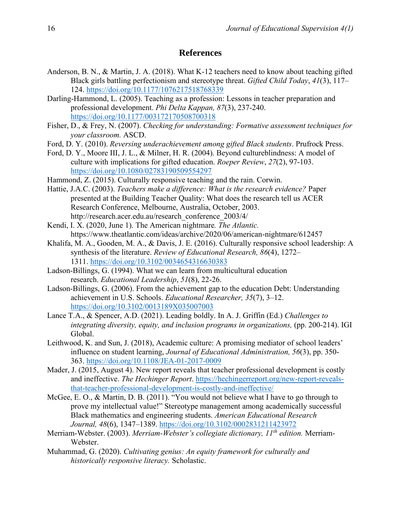### **References**

- Anderson, B. N., & Martin, J. A. (2018). What K-12 teachers need to know about teaching gifted Black girls battling perfectionism and stereotype threat. *Gifted Child Today*, *41*(3), 117– 124.<https://doi.org/10.1177/1076217518768339>
- Darling-Hammond, L. (2005). Teaching as a profession: Lessons in teacher preparation and professional development. *Phi Delta Kappan, 87*(3), 237-240. <https://doi.org/10.1177/003172170508700318>
- Fisher, D., & Frey, N. (2007). *Checking for understanding: Formative assessment techniques for your classroom.* ASCD.
- Ford, D. Y. (2010). *Reversing underachievement among gifted Black students*. Prufrock Press.
- Ford, D. Y., Moore III, J. L., & Milner, H. R. (2004). Beyond cultureblindness: A model of culture with implications for gifted education. *Roeper Review*, *27*(2), 97-103. <https://doi.org/10.1080/02783190509554297>
- Hammond, Z. (2015). Culturally responsive teaching and the rain. Corwin.
- Hattie, J.A.C. (2003). *Teachers make a difference: What is the research evidence?* Paper presented at the Building Teacher Quality: What does the research tell us ACER Research Conference, Melbourne, Australia, October, 2003. http://research.acer.edu.au/research\_conference\_2003/4/
- Kendi, I. X. (2020, June 1). The American nightmare*. The Atlantic.* https://www.theatlantic.com/ideas/archive/2020/06/american-nightmare/612457
- Khalifa, M. A., Gooden, M. A., & Davis, J. E. (2016). Culturally responsive school leadership: A synthesis of the literature. *Review of Educational Research, 86*(4), 1272– 1311. <https://doi.org/10.3102/0034654316630383>
- Ladson-Billings, G. (1994). What we can learn from multicultural education research. *Educational Leadership*, *51*(8), 22-26.
- Ladson-Billings, G. (2006). From the achievement gap to the education Debt: Understanding achievement in U.S. Schools. *Educational Researcher, 35*(7), 3–12. <https://doi.org/10.3102/0013189X035007003>
- Lance T.A., & Spencer, A.D. (2021). Leading boldly. In A. J. Griffin (Ed.) *Challenges to integrating diversity, equity, and inclusion programs in organizations,* (pp. 200-214). IGI Global.
- Leithwood, K. and Sun, J. (2018), Academic culture: A promising mediator of school leaders' influence on student learning, *Journal of Educational Administration, 56*(3), pp. 350- 363. <https://doi.org/10.1108/JEA-01-2017-0009>
- Mader, J. (2015, August 4). New report reveals that teacher professional development is costly and ineffective. *The Hechinger Report*. [https://hechingerreport.org/new-report-reveals](https://hechingerreport.org/new-report-reveals-that-teacher-professional-development-is-costly-and-ineffective/)[that-teacher-professional-development-is-costly-and-ineffective/](https://hechingerreport.org/new-report-reveals-that-teacher-professional-development-is-costly-and-ineffective/)
- McGee, E. O., & Martin, D. B. (2011). "You would not believe what I have to go through to prove my intellectual value!" Stereotype management among academically successful Black mathematics and engineering students. *American Educational Research Journal, 48*(6), 1347–1389. <https://doi.org/10.3102/0002831211423972>
- Merriam-Webster. (2003). *Merriam-Webster's collegiate dictionary, 11th edition.* Merriam-Webster.
- Muhammad, G. (2020). *Cultivating genius: An equity framework for culturally and historically responsive literacy.* Scholastic.